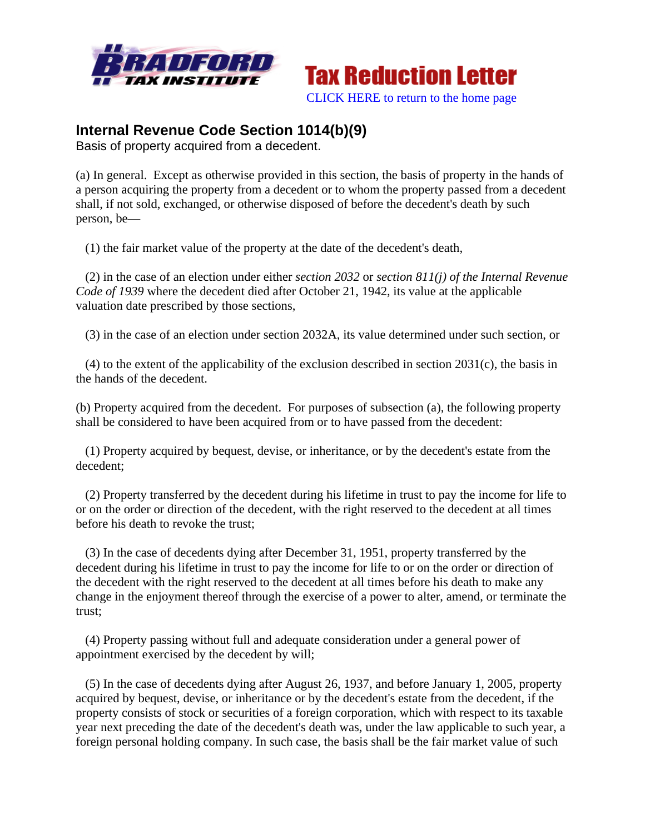



## **Internal Revenue Code Section 1014(b)(9)**

Basis of property acquired from a decedent.

(a) In general. Except as otherwise provided in this section, the basis of property in the hands of a person acquiring the property from a decedent or to whom the property passed from a decedent shall, if not sold, exchanged, or otherwise disposed of before the decedent's death by such person, be—

(1) the fair market value of the property at the date of the decedent's death,

 (2) in the case of an election under either *section 2032* or *section 811(j) of the Internal Revenue Code of 1939* where the decedent died after October 21, 1942, its value at the applicable valuation date prescribed by those sections,

(3) in the case of an election under section 2032A, its value determined under such section, or

 (4) to the extent of the applicability of the exclusion described in section 2031(c), the basis in the hands of the decedent.

(b) Property acquired from the decedent. For purposes of subsection (a), the following property shall be considered to have been acquired from or to have passed from the decedent:

 (1) Property acquired by bequest, devise, or inheritance, or by the decedent's estate from the decedent;

 (2) Property transferred by the decedent during his lifetime in trust to pay the income for life to or on the order or direction of the decedent, with the right reserved to the decedent at all times before his death to revoke the trust;

 (3) In the case of decedents dying after December 31, 1951, property transferred by the decedent during his lifetime in trust to pay the income for life to or on the order or direction of the decedent with the right reserved to the decedent at all times before his death to make any change in the enjoyment thereof through the exercise of a power to alter, amend, or terminate the trust;

 (4) Property passing without full and adequate consideration under a general power of appointment exercised by the decedent by will;

 (5) In the case of decedents dying after August 26, 1937, and before January 1, 2005, property acquired by bequest, devise, or inheritance or by the decedent's estate from the decedent, if the property consists of stock or securities of a foreign corporation, which with respect to its taxable year next preceding the date of the decedent's death was, under the law applicable to such year, a foreign personal holding company. In such case, the basis shall be the fair market value of such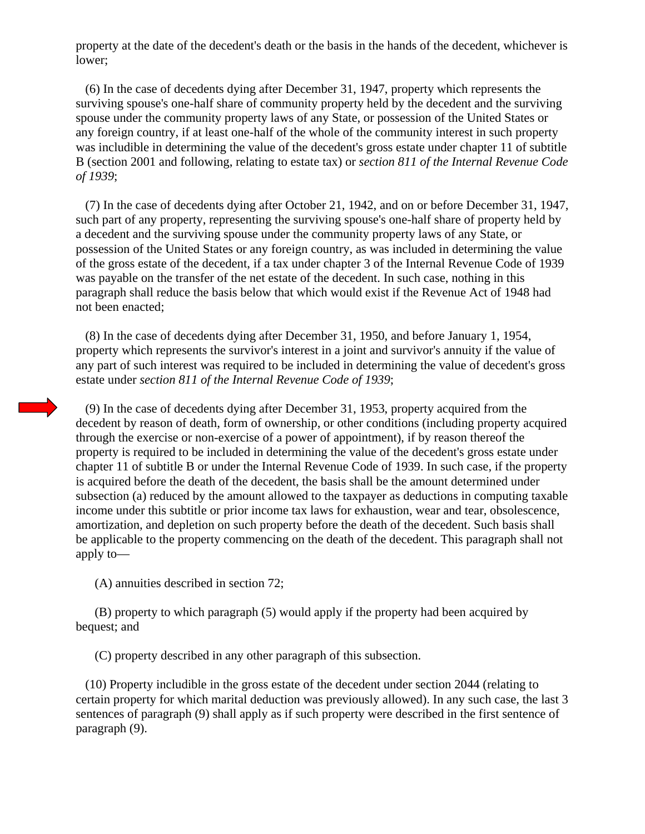property at the date of the decedent's death or the basis in the hands of the decedent, whichever is lower;

 (6) In the case of decedents dying after December 31, 1947, property which represents the surviving spouse's one-half share of community property held by the decedent and the surviving spouse under the community property laws of any State, or possession of the United States or any foreign country, if at least one-half of the whole of the community interest in such property was includible in determining the value of the decedent's gross estate under chapter 11 of subtitle B (section 2001 and following, relating to estate tax) or *section 811 of the Internal Revenue Code of 1939*;

 (7) In the case of decedents dying after October 21, 1942, and on or before December 31, 1947, such part of any property, representing the surviving spouse's one-half share of property held by a decedent and the surviving spouse under the community property laws of any State, or possession of the United States or any foreign country, as was included in determining the value of the gross estate of the decedent, if a tax under chapter 3 of the Internal Revenue Code of 1939 was payable on the transfer of the net estate of the decedent. In such case, nothing in this paragraph shall reduce the basis below that which would exist if the Revenue Act of 1948 had not been enacted;

 (8) In the case of decedents dying after December 31, 1950, and before January 1, 1954, property which represents the survivor's interest in a joint and survivor's annuity if the value of any part of such interest was required to be included in determining the value of decedent's gross estate under *section 811 of the Internal Revenue Code of 1939*;

 (9) In the case of decedents dying after December 31, 1953, property acquired from the decedent by reason of death, form of ownership, or other conditions (including property acquired through the exercise or non-exercise of a power of appointment), if by reason thereof the property is required to be included in determining the value of the decedent's gross estate under chapter 11 of subtitle B or under the Internal Revenue Code of 1939. In such case, if the property is acquired before the death of the decedent, the basis shall be the amount determined under subsection (a) reduced by the amount allowed to the taxpayer as deductions in computing taxable income under this subtitle or prior income tax laws for exhaustion, wear and tear, obsolescence, amortization, and depletion on such property before the death of the decedent. Such basis shall be applicable to the property commencing on the death of the decedent. This paragraph shall not apply to—

(A) annuities described in section 72;

 (B) property to which paragraph (5) would apply if the property had been acquired by bequest; and

(C) property described in any other paragraph of this subsection.

 (10) Property includible in the gross estate of the decedent under section 2044 (relating to certain property for which marital deduction was previously allowed). In any such case, the last 3 sentences of paragraph (9) shall apply as if such property were described in the first sentence of paragraph (9).